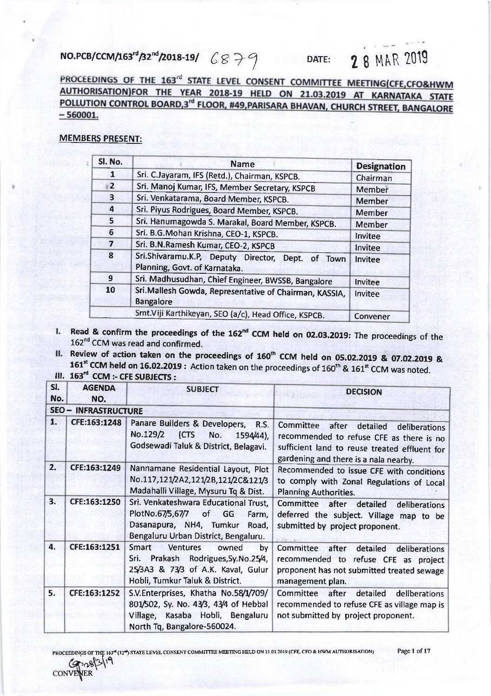## NO.PCB/CCM/163rd/32nd/2018-19/  $6879$

## **28 MAR 2019** DATE:

PROCEEDINGS OF THE 163<sup>rd</sup> STATE LEVEL CONSENT COMMITTEE MEETING(CFE,CFO&HWM AUTHORISATION)FOR THE YEAR 2018-19 HELD ON 21.03.2019 AT KARNATAKA STATE POLLUTION CONTROL BOARD,3<sup>rd</sup> FLOOR, #49, PARISARA BHAVAN, CHURCH STREET, BANGALORE  $-560001.$ 

## **MEMBERS PRESENT:**

| Sl. No.        | <b>Name</b>                                                                                            | <b>Designation</b> |
|----------------|--------------------------------------------------------------------------------------------------------|--------------------|
| 1              | Sri. C.Jayaram, IFS (Retd.), Chairman, KSPCB.                                                          | Chairman           |
| $\overline{2}$ | Sri. Manoj Kumar, IFS, Member Secretary, KSPCB                                                         | Member             |
| 3              | Sri. Venkatarama, Board Member, KSPCB.                                                                 | Member             |
| $\overline{a}$ | Sri. Piyus Rodrigues, Board Member, KSPCB.                                                             | <b>Member</b>      |
| 5              | Sri. Hanumagowda S. Marakal, Board Member, KSPCB.                                                      | Member             |
| 6              | Sri. B.G.Mohan Krishna, CEO-1, KSPCB.                                                                  | Invitee            |
| 7              | Sri. B.N.Ramesh Kumar, CEO-2, KSPCB                                                                    | Invitee            |
| 8              | Sri.Shivaramu.K.P, Deputy Director, Dept.<br><u>of</u><br><b>Town</b><br>Planning, Govt. of Karnataka. | Invitee            |
| $\mathbf{g}$   | Sri. Madhusudhan, Chief Engineer, BWSSB, Bangalore                                                     | Invitee            |
| 10             | Sri. Mallesh Gowda, Representative of Chairman, KASSIA,<br><b>Bangalore</b>                            | Invitee            |
|                | Smt.Viji Karthikeyan, SEO (a/c), Head Office, KSPCB.                                                   | Convener           |

- I. Read & confirm the proceedings of the 162<sup>nd</sup> CCM held on 02.03.2019: The proceedings of the 162<sup>nd</sup> CCM was read and confirmed.
- II. Review of action taken on the proceedings of 160<sup>th</sup> CCM held on 05.02.2019 & 07.02.2019 & 161<sup>st</sup> CCM held on 16.02.2019: Action taken on the proceedings of 160<sup>th</sup> & 161<sup>st</sup> CCM was noted.

III. 163<sup>rd</sup> CCM :- CFE SUBJECTS :

| ы.<br>No. | <b>AGENDA</b><br>NO.        | <b>SUBJECT</b>                                                                                                                                            | <b>DECISION</b>                                                                                                                                                                       |
|-----------|-----------------------------|-----------------------------------------------------------------------------------------------------------------------------------------------------------|---------------------------------------------------------------------------------------------------------------------------------------------------------------------------------------|
|           | <b>SEO - INFRASTRUCTURE</b> |                                                                                                                                                           |                                                                                                                                                                                       |
| 1.        | CFE:163:1248                | Panare Builders & Developers, R.S.<br>No.129/2<br>(CTS<br>No.<br>1594/44),<br>Godsewadi Taluk & District, Belagavi.                                       | Committee<br>after<br>detailed<br>deliberations<br>recommended to refuse CFE as there is no<br>sufficient land to reuse treated effluent for<br>gardening and there is a nala nearby. |
| 2.        | CFE:163:1249                | Nannamane Residential Layout, Plot<br>No.117,121/2A2,121/2B,121/2C&121/3<br>Madahalli Village, Mysuru Tq & Dist.                                          | Recommended to issue CFE with conditions<br>to comply with Zonal Regulations of Local<br><b>Planning Authorities.</b>                                                                 |
| 3.        | CFE:163:1250                | Sri. Venkateshwara Educational Trust,<br>PlotNo.67/5,67/7<br>of GG<br>Farm,<br>Dasanapura, NH4, Tumkur Road,<br>Bengaluru Urban District, Bengaluru.      | Committee after detailed<br>deliberations<br>deferred the subject. Village map to be<br>submitted by project proponent.                                                               |
| 4.        | CFE:163:1251                | Smart<br><b>Ventures</b><br>owned<br>by<br>Sri. Prakash Rodrigues, Sy. No. 25/4,<br>25/3A3 & 73/3 of A.K. Kaval, Gulur<br>Hobli, Tumkur Taluk & District. | Committee<br>after<br>detailed<br>deliberations<br>recommended to refuse CFE as project<br>proponent has not submitted treated sewage<br>management plan.                             |
| 5.        | CFE:163:1252                | S.V.Enterprises, Khatha No.58/1/709/<br>801/502, Sy. No. 43/3, 43/4 of Hebbal<br>Village, Kasaba Hobli, Bengaluru<br>North Tq, Bangalore-560024.          | Committee after<br>detailed<br>deliberations<br>recommended to refuse CFE as village map is<br>not submitted by project proponent.                                                    |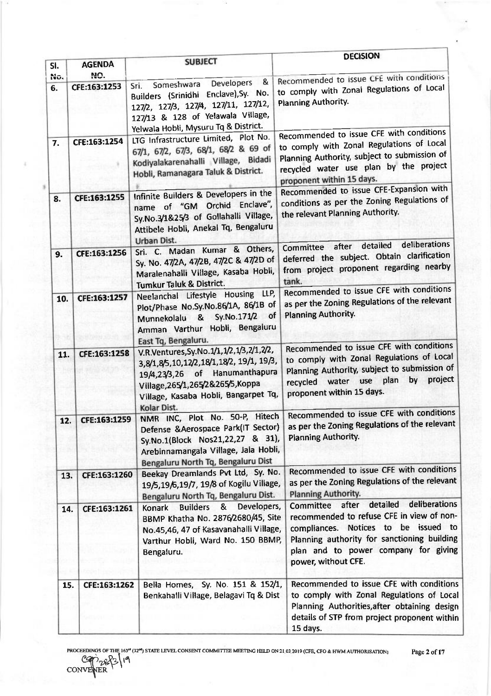|            |                      |                                                                                                                                                                                                                         | <b>DECISION</b>                                                                                                                                                                                                                                 |
|------------|----------------------|-------------------------------------------------------------------------------------------------------------------------------------------------------------------------------------------------------------------------|-------------------------------------------------------------------------------------------------------------------------------------------------------------------------------------------------------------------------------------------------|
| SI.<br>No. | <b>AGENDA</b><br>NO. | <b>SUBJECT</b>                                                                                                                                                                                                          | Recommended to issue CFE with conditions                                                                                                                                                                                                        |
| 6.         | CFE:163:1253         | &<br><b>Developers</b><br>Someshwara<br>Sri.<br>Builders (Srinidhi Enclave), Sy. No.<br>127/2, 127/3, 127/4, 127/11, 127/12,<br>127/13 & 128 of Yelawala Village,<br>Yelwala Hobli, Mysuru Tq & District.               | to comply with Zonal Regulations of Local<br>Planning Authority.                                                                                                                                                                                |
| 7.         | CFE:163:1254         | LTG Infrastructure Limited, Plot No.<br>67/1, 67/2, 67/3, 68/1, 68/2 & 69 of<br>Kodiyalakarenahalli Village, Bidadi<br>Hobli, Ramanagara Taluk & District.                                                              | Recommended to issue CFE with conditions<br>to comply with Zonal Regulations of Local<br>Planning Authority, subject to submission of<br>recycled water use plan by the project<br>proponent within 15 days.                                    |
| 8.         | CFE:163:1255         | Infinite Builders & Developers in the<br>name of "GM Orchid Enclave",<br>Sy.No.3/1&25/3 of Gollahalli Village,<br>Attibele Hobli, Anekal Tq, Bengaluru<br>Urban Dist.                                                   | Recommended to issue CFE-Expansion with<br>conditions as per the Zoning Regulations of<br>the relevant Planning Authority.                                                                                                                      |
| 9.         | CFE:163:1256         | Sri. C. Madan Kumar & Others,<br>Sy. No. 47/2A, 47/2B, 47/2C & 47/2D of<br>Maralenahalli Village, Kasaba Hobli,<br>Tumkur Taluk & District.                                                                             | deliberations<br>detailed<br>Committee after<br>deferred the subject. Obtain clarification<br>from project proponent regarding nearby<br>tank.                                                                                                  |
| 10.        | CFE:163:1257         | Neelanchal Lifestyle Housing LLP,<br>Plot/Phase No.Sy.No.86/1A, 86/1B of<br>Sy.No.171/2 of<br>Munnekolalu &<br>Amman Varthur Hobli, Bengaluru<br>East Tq, Bengaluru.                                                    | Recommended to issue CFE with conditions<br>as per the Zoning Regulations of the relevant<br>Planning Authority.                                                                                                                                |
| 11.        | CFE:163:1258         | V.R.Ventures, Sy.No.1/1, 1/2, 1/3, 2/1, 2/2,<br>3,8/1,8/5,10,12/2,18/1,18/2, 19/1, 19/3,<br>19/4,23/3,26 of Hanumanthapura<br>Village, 265/1, 265/2&265/5, Koppa<br>Village, Kasaba Hobli, Bangarpet Tq,<br>Kolar Dist. | Recommended to issue CFE with conditions<br>to comply with Zonal Regulations of Local<br>Planning Authority, subject to submission of<br>by project<br>plan<br>water use<br>recycled<br>proponent within 15 days.                               |
| 12.        | CFE:163:1259         | NMR INC, Plot No. 50-P, Hitech<br>Defense & Aerospace Park(IT Sector)<br>Sy.No.1(Block Nos21,22,27 & 31),<br>Arebinnamangala Village, Jala Hobli,<br>Bengaluru North Tq, Bengaluru Dist                                 | Recommended to issue CFE with conditions<br>as per the Zoning Regulations of the relevant<br>Planning Authority.                                                                                                                                |
| 13.        | CFE:163:1260         | Beekay Dreamlands Pvt Ltd, Sy. No.<br>19/5,19/6,19/7, 19/8 of Kogilu Village,<br>Bengaluru North Tq, Bengaluru Dist.                                                                                                    | Recommended to issue CFE with conditions<br>as per the Zoning Regulations of the relevant<br>Planning Authority.                                                                                                                                |
| 14.        | CFE:163:1261         | Developers,<br><b>Builders</b><br>8 <sub>k</sub><br>Konark<br>BBMP Khatha No. 2876/2680/45, Site<br>No.45,46, 47 of Kasavanahalli Village,<br>Varthur Hobli, Ward No. 150 BBMP,<br>Bengaluru.                           | detailed<br>deliberations<br>Committee after<br>recommended to refuse CFE in view of non-<br>compliances. Notices to be issued to<br>Planning authority for sanctioning building<br>plan and to power company for giving<br>power, without CFE. |
| 15.        | CFE:163:1262         | Bella Homes, Sy. No. 151 & 152/1,<br>Benkahalli Village, Belagavi Tq & Dist                                                                                                                                             | Recommended to issue CFE with conditions<br>to comply with Zonal Regulations of Local<br>Planning Authorities, after obtaining design<br>details of STP from project proponent within<br>15 days.                                               |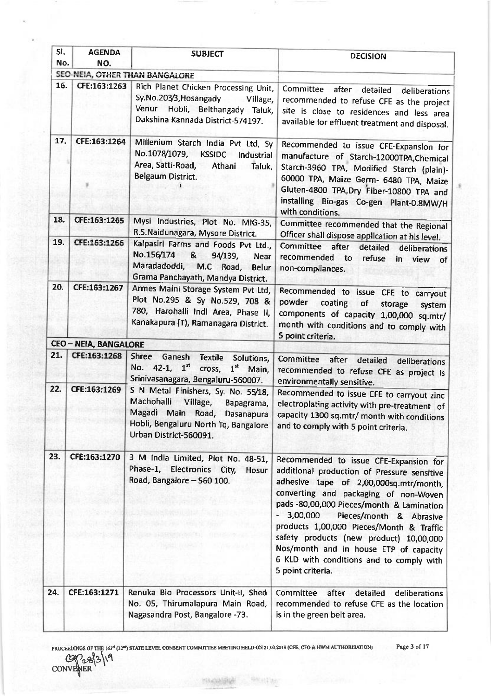| SI.<br>No. | <b>AGENDA</b><br>NO.         | <b>SUBJECT</b>                                                                                                                                                                                                                          | <b>DECISION</b>                                                                                                                                                                                                                                                                                                                                                                                                                                                   |
|------------|------------------------------|-----------------------------------------------------------------------------------------------------------------------------------------------------------------------------------------------------------------------------------------|-------------------------------------------------------------------------------------------------------------------------------------------------------------------------------------------------------------------------------------------------------------------------------------------------------------------------------------------------------------------------------------------------------------------------------------------------------------------|
|            |                              | SEO-NEIA, OTHER THAN BANGALORE                                                                                                                                                                                                          |                                                                                                                                                                                                                                                                                                                                                                                                                                                                   |
| 16.        | CFE:163:1263                 | Rich Planet Chicken Processing Unit,<br>Sy.No.203/3, Hosangady<br>Village,<br>Venur Hobli, Belthangady Taluk,<br>Dakshina Kannada District-574197.                                                                                      | Committee<br>after<br>detailed<br>deliberations<br>recommended to refuse CFE as the project<br>site is close to residences and less area<br>available for effluent treatment and disposal.                                                                                                                                                                                                                                                                        |
| 17.        | CFE:163:1264                 | Millenium Starch India Pvt Ltd, Sy<br>No.1078/1079, KSSIDC<br>Industrial<br>Area, Satti-Road,<br>Athani<br>Taluk,<br>Belgaum District.                                                                                                  | Recommended to issue CFE-Expansion for<br>manufacture of Starch-12000TPA, Chemical<br>Starch-3960 TPA, Modified Starch (plain)-<br>60000 TPA, Maize Germ- 6480 TPA, Maize<br>Gluten-4800 TPA, Dry Fiber-10800 TPA and<br>installing Bio-gas Co-gen Plant-0.8MW/H<br>with conditions.                                                                                                                                                                              |
| 18.<br>19. | CFE:163:1265<br>CFE:163:1266 | Mysi Industries, Plot No. MIG-35,<br>R.S.Naidunagara, Mysore District.<br>Kalpasiri Farms and Foods Pvt Ltd.,<br>No.156/174 &<br>94/139,<br><b>Near</b><br>Maradadoddi, M.C Road,<br><b>Belur</b><br>Grama Panchayath, Mandya District. | Committee recommended that the Regional<br>Officer shall dispose application at his level.<br>Committee after<br>detailed<br>deliberations<br>recommended to<br>refuse<br>in view of<br>non-compliances.                                                                                                                                                                                                                                                          |
| 20.        | CFE:163:1267                 | Armes Maini Storage System Pvt Ltd,<br>Plot No.295 & Sy No.529, 708 &<br>780, Harohalli Indi Area, Phase II,<br>Kanakapura (T), Ramanagara District.                                                                                    | Recommended to issue CFE to carryout<br>powder<br>coating<br>of<br>storage<br>system<br>components of capacity 1,00,000 sq.mtr/<br>month with conditions and to comply with<br>5 point criteria.                                                                                                                                                                                                                                                                  |
|            | <b>CEO - NEIA, BANGALORE</b> |                                                                                                                                                                                                                                         |                                                                                                                                                                                                                                                                                                                                                                                                                                                                   |
| 21.        | CFE.163.1268                 | <b>Shree</b><br>Ganesh<br>Textile Solutions,<br>No. 42-1, $1^{\text{st}}$<br>cross,<br>$1st$ Main,<br>Srinivasanagara, Bengaluru-560007.                                                                                                | Committee<br>after<br>detailed<br>deliberations<br>recommended to refuse CFE as project is<br>environmentally sensitive.                                                                                                                                                                                                                                                                                                                                          |
| 22.        | CFE:163:1269                 | S N Metal Finishers, Sy. No. 55/18,<br>Machohalli<br>Village,<br>Bapagrama,<br>Magadi Main Road, Dasanapura<br>Hobli, Bengaluru North Tq, Bangalore<br>Urban District-560091.                                                           | Recommended to issue CFE to carryout zinc<br>electroplating activity with pre-treatment of<br>capacity 1300 sq.mtr/ month with conditions<br>and to comply with 5 point criteria.                                                                                                                                                                                                                                                                                 |
| 23.        | CFE:163:1270                 | 3 M India Limited, Plot No. 48-51,<br>Phase-1, Electronics City,<br>Hosur<br>Road, Bangalore - 560 100.                                                                                                                                 | Recommended to issue CFE-Expansion for<br>additional production of Pressure sensitive<br>adhesive tape of 2,00,000sq.mtr/month,<br>converting and packaging of non-Woven<br>pads -80,00,000 Pieces/month & Lamination<br>$-3,00,000$<br>Pieces/month & Abrasive<br>products 1,00,000 Pieces/Month & Traffic<br>safety products (new product) 10,00,000<br>Nos/month and in house ETP of capacity<br>6 KLD with conditions and to comply with<br>5 point criteria. |
| 24.        | CFE:163:1271                 | Renuka Bio Processors Unit-II, Shed<br>No. 05, Thirumalapura Main Road,<br>Nagasandra Post, Bangalore -73.                                                                                                                              | Committee<br>after<br>detailed<br>deliberations<br>recommended to refuse CFE as the location<br>is in the green belt area.                                                                                                                                                                                                                                                                                                                                        |

PRoCEEDTNGS or TtE I63N O21 SI,{TE I,.E\GL coNsE..IT CoMMITIEE MEEIING HELD ON 2I o1,2OI9 (CFq CFO & IIWM AUII{OXIS.ATIONI W,cls\q

**his cheese of** 

导航时间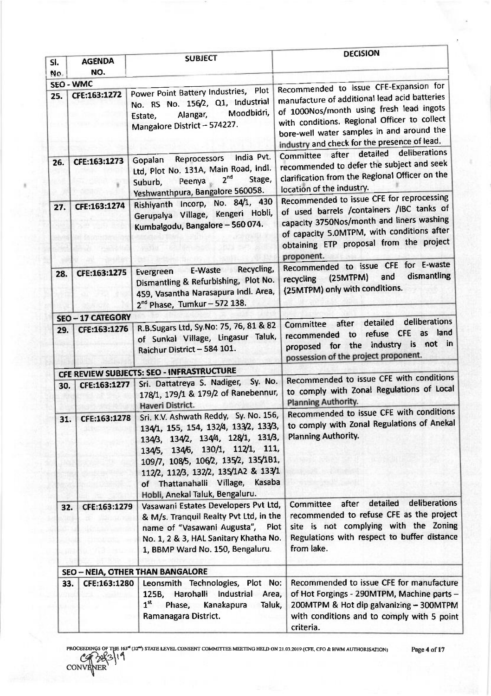|            |                          |                                                                                                                                                                                                                                                                                                                                | <b>DECISION</b>                                                                                                                                                                                                                                                                  |
|------------|--------------------------|--------------------------------------------------------------------------------------------------------------------------------------------------------------------------------------------------------------------------------------------------------------------------------------------------------------------------------|----------------------------------------------------------------------------------------------------------------------------------------------------------------------------------------------------------------------------------------------------------------------------------|
| SI.<br>No. | <b>AGENDA</b><br>NO.     | <b>SUBJECT</b>                                                                                                                                                                                                                                                                                                                 |                                                                                                                                                                                                                                                                                  |
|            | <b>SEO - WMC</b>         |                                                                                                                                                                                                                                                                                                                                |                                                                                                                                                                                                                                                                                  |
| 25.        | CFE:163:1272             | Power Point Battery Industries, Plot<br>No. RS No. 156/2, Q1, Industrial<br>Moodbidri.<br>Alangar,<br>Estate,<br>Mangalore District - 574227.                                                                                                                                                                                  | Recommended to issue CFE-Expansion for<br>manufacture of additional lead acid batteries<br>of 1000Nos/month using fresh lead ingots<br>with conditions. Regional Officer to collect<br>bore-well water samples in and around the<br>industry and check for the presence of lead. |
| 26.        | CFE:163:1273             | India Pvt.<br>Reprocessors<br>Gopalan<br>Ltd, Plot No. 131A, Main Road, Indl.<br>2 <sup>nd</sup><br>Stage,<br>Peenya<br>Suburb,<br>Yeshwanthpura, Bangalore 560058.                                                                                                                                                            | deliberations<br>Committee after detailed<br>recommended to defer the subject and seek<br>clarification from the Regional Officer on the<br>location of the industry.                                                                                                            |
| 27.        | CFE:163:1274             | Rishiyanth Incorp, No. 84/1, 430<br>Gerupalya Village, Kengeri Hobli,<br>Kumbalgodu, Bangalore - 560 074.                                                                                                                                                                                                                      | Recommended to issue CFE for reprocessing<br>of used barrels /containers /IBC tanks of<br>capacity 3750Nos/month and liners washing<br>of capacity 5.0MTPM, with conditions after<br>obtaining ETP proposal from the project<br>proponent.                                       |
| 28.        | CFE:163:1275             | Recycling,<br>E-Waste<br>Evergreen<br>Dismantling & Refurbishing, Plot No.<br>459, Vasantha Narasapura Indi. Area,<br>2 <sup>nd</sup> Phase, Tumkur - 572 138.                                                                                                                                                                 | Recommended to issue CFE for E-waste<br>dismantling<br>and<br>(25MTPM)<br>recycling<br>(25MTPM) only with conditions.                                                                                                                                                            |
|            | <b>SEO - 17 CATEGORY</b> |                                                                                                                                                                                                                                                                                                                                |                                                                                                                                                                                                                                                                                  |
| 29.        | CFE:163:1276             | R.B.Sugars Ltd, Sy.No: 75, 76, 81 & 82<br>of Sunkal Village, Lingasur Taluk,<br>Raichur District - 584 101.                                                                                                                                                                                                                    | deliberations<br>detailed<br>after<br>Committee<br>land<br>refuse CFE as<br>to<br>recommended<br>proposed for the industry is not in<br>possession of the project proponent.                                                                                                     |
|            |                          | CFE REVIEW SUBJECTS: SEO - INFRASTRUCTURE                                                                                                                                                                                                                                                                                      |                                                                                                                                                                                                                                                                                  |
| 30.        | CFE:163:1277             | Sri. Dattatreya S. Nadiger, Sy. No.<br>178/1, 179/1 & 179/2 of Ranebennur,<br>Haveri District.                                                                                                                                                                                                                                 | Recommended to issue CFE with conditions<br>to comply with Zonal Regulations of Local<br><b>Planning Authority.</b>                                                                                                                                                              |
| 31.        |                          | CFE:163:1278   Sri. K.V. Ashwath Reddy, Sy. No. 156,<br>134/1, 155, 154, 132/4, 133/2, 133/3,<br>134/3, 134/2, 134/4, 128/1, 131/3,<br>134/5, 134/6, 130/1, 112/1, 111,<br>109/7, 108/5, 106/2, 135/2, 135/181,<br>112/2, 112/3, 132/2, 135/1A2 & 133/1<br>of Thattanahalli Village, Kasaba<br>Hobli, Anekal Taluk, Bengaluru. | Recommended to issue CFE with conditions<br>to comply with Zonal Regulations of Anekal<br><b>Planning Authority.</b>                                                                                                                                                             |
| 32.        | CFE:163:1279             | Vasawani Estates Developers Pvt Ltd,<br>& M/s. Tranquil Realty Pvt Ltd, in the<br>name of "Vasawani Augusta", Plot<br>No. 1, 2 & 3, HAL Sanitary Khatha No.<br>1, BBMP Ward No. 150, Bengaluru.                                                                                                                                | detailed<br>deliberations<br>after<br>Committee<br>recommended to refuse CFE as the project<br>site is not complying with the Zoning<br>Regulations with respect to buffer distance<br>from lake.                                                                                |
|            |                          | <b>SEO - NEIA, OTHER THAN BANGALORE</b>                                                                                                                                                                                                                                                                                        |                                                                                                                                                                                                                                                                                  |
| 33.        | CFE:163:1280             | Leonsmith Technologies, Plot No:<br>Harohalli Industrial<br>125B,<br>Area,<br>1 <sup>st</sup><br>Phase,<br>Kanakapura<br>Taluk,<br>Ramanagara District.                                                                                                                                                                        | Recommended to issue CFE for manufacture<br>of Hot Forgings - 290MTPM, Machine parts -<br>200MTPM & Hot dip galvanizing - 300MTPM<br>with conditions and to comply with 5 point<br>criteria.                                                                                     |

Page 4 of 17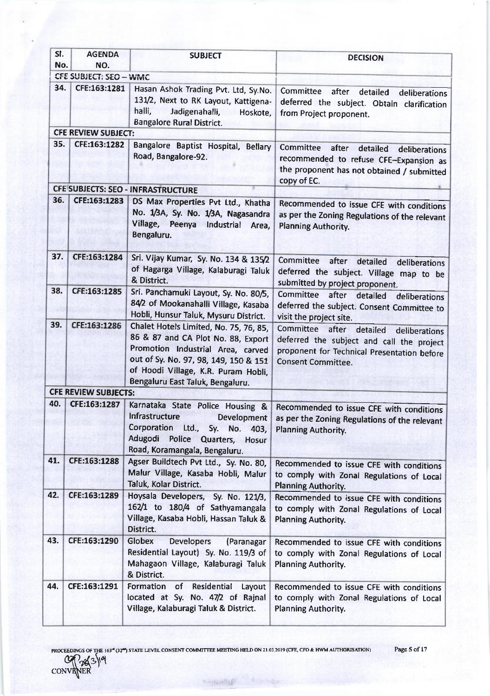| SI.<br>No. | <b>AGENDA</b><br>NO.        | <b>SUBJECT</b>                                                                                                                                                                                                                        | <b>DECISION</b>                                                                                                                                                    |
|------------|-----------------------------|---------------------------------------------------------------------------------------------------------------------------------------------------------------------------------------------------------------------------------------|--------------------------------------------------------------------------------------------------------------------------------------------------------------------|
|            | CFE SUBJECT: SEO - WMC      |                                                                                                                                                                                                                                       |                                                                                                                                                                    |
| 34.        | CFE:163:1281                | Hasan Ashok Trading Pvt. Ltd, Sy.No.<br>131/2, Next to RK Layout, Kattigena-<br>halli,<br>Jadigenahalli,<br>Hoskote,<br>Bangalore Rural District.                                                                                     | Committee<br>after<br>detailed<br>deliberations<br>deferred the subject. Obtain clarification<br>from Project proponent.                                           |
|            | <b>CFE REVIEW SUBJECT:</b>  |                                                                                                                                                                                                                                       |                                                                                                                                                                    |
| 35.        | CFE:163:1282                | Bangalore Baptist Hospital, Bellary<br>Road, Bangalore-92.                                                                                                                                                                            | Committee<br>after<br>detailed<br>deliberations<br>recommended to refuse CFE-Expansion as<br>the proponent has not obtained / submitted<br>copy of EC.             |
|            |                             | CFE SUBJECTS: SEO - INFRASTRUCTURE                                                                                                                                                                                                    |                                                                                                                                                                    |
| 36.        | CFE:163:1283                | DS Max Properties Pvt Ltd., Khatha<br>No. 1/3A, Sy. No. 1/3A, Nagasandra<br>Village, Peenya<br>Industrial<br>Area,<br>Bengaluru.                                                                                                      | Recommended to issue CFE with conditions<br>as per the Zoning Regulations of the relevant<br><b>Planning Authority.</b>                                            |
| 37.        | CFE:163:1284                | Sri. Vijay Kumar, Sy. No. 134 & 135/2<br>of Hagarga Village, Kalaburagi Taluk<br>& District.                                                                                                                                          | <b>Committee</b><br>after<br>detailed<br>deliberations<br>deferred the subject. Village map to be<br>submitted by project proponent.                               |
| 38.        | CFE:163:1285                | Sri. Panchamuki Layout, Sy. No. 80/5,<br>84/2 of Mookanahalli Village, Kasaba<br>Hobli, Hunsur Taluk, Mysuru District.                                                                                                                | <b>Committee</b><br>after detailed<br>deliberations<br>deferred the subject. Consent Committee to<br>visit the project site.                                       |
| 39.        | CFE:163:1286                | Chalet Hotels Limited, No. 75, 76, 85,<br>86 & 87 and CA Plot No. 88, Export<br>Promotion Industrial Area, carved<br>out of Sy. No. 97, 98, 149, 150 & 151<br>of Hoodi Village, K.R. Puram Hobli,<br>Bengaluru East Taluk, Bengaluru. | Committee after detailed<br>deliberations<br>deferred the subject and call the project<br>proponent for Technical Presentation before<br><b>Consent Committee.</b> |
|            | <b>CFE REVIEW SUBJECTS:</b> |                                                                                                                                                                                                                                       |                                                                                                                                                                    |
| 40.        | CFE:163:1287                | Karnataka State Police Housing &<br>Infrastructure<br>Development<br>Corporation<br>Ltd.,<br>Sy. No.<br>403,<br>Adugodi<br>Police Quarters,<br>Hosur<br>Road, Koramangala, Bengaluru.                                                 | Recommended to issue CFE with conditions<br>as per the Zoning Regulations of the relevant<br><b>Planning Authority.</b>                                            |
| 41.        | CFE:163:1288                | Agser Buildtech Pvt Ltd., Sy. No. 80,<br>Malur Village, Kasaba Hobli, Malur<br>Taluk, Kolar District.                                                                                                                                 | Recommended to issue CFE with conditions<br>to comply with Zonal Regulations of Local<br><b>Planning Authority.</b>                                                |
| 42.        | CFE:163:1289                | Hoysala Developers, Sy. No. 121/3,<br>162/1 to 180/4 of Sathyamangala<br>Village, Kasaba Hobli, Hassan Taluk &<br>District.                                                                                                           | Recommended to issue CFE with conditions<br>to comply with Zonal Regulations of Local<br><b>Planning Authority.</b>                                                |
| 43.        | CFE:163:1290                | Globex<br><b>Developers</b><br>(Paranagar<br>Residential Layout) Sy. No. 119/3 of<br>Mahagaon Village, Kalaburagi Taluk<br>& District.                                                                                                | Recommended to issue CFE with conditions<br>to comply with Zonal Regulations of Local<br>Planning Authority.                                                       |
| 44.        | CFE:163:1291                | of Residential<br>Formation<br>Layout<br>located at Sy. No. 47/2 of Rajnal<br>Village, Kalaburagi Taluk & District.                                                                                                                   | Recommended to issue CFE with conditions<br>to comply with Zonal Regulations of Local<br><b>Planning Authority.</b>                                                |

**HASILING** 

convener